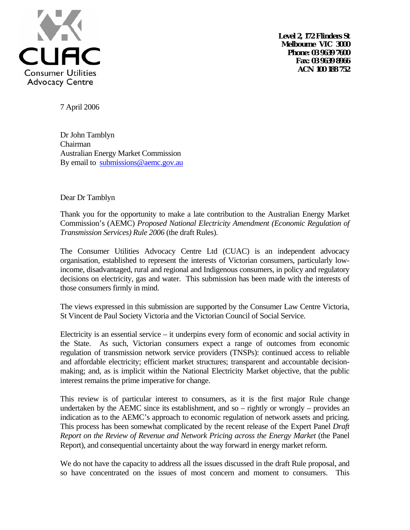

**Level 2, 172 Flinders St Melbourne VIC 3000 Phone: 03 9639 7600 Fax: 03 9639 8966 ACN 100 188 752**

7 April 2006

Dr John Tamblyn Chairman Australian Energy Market Commission By email to submissions@aemc.gov.au

Dear Dr Tamblyn

Thank you for the opportunity to make a late contribution to the Australian Energy Market Commission's (AEMC) *Proposed National Electricity Amendment (Economic Regulation of Transmission Services) Rule 2006* (the draft Rules).

The Consumer Utilities Advocacy Centre Ltd (CUAC) is an independent advocacy organisation, established to represent the interests of Victorian consumers, particularly lowincome, disadvantaged, rural and regional and Indigenous consumers, in policy and regulatory decisions on electricity, gas and water. This submission has been made with the interests of those consumers firmly in mind.

The views expressed in this submission are supported by the Consumer Law Centre Victoria, St Vincent de Paul Society Victoria and the Victorian Council of Social Service.

Electricity is an essential service – it underpins every form of economic and social activity in the State. As such, Victorian consumers expect a range of outcomes from economic regulation of transmission network service providers (TNSPs): continued access to reliable and affordable electricity; efficient market structures; transparent and accountable decisionmaking; and, as is implicit within the National Electricity Market objective, that the public interest remains the prime imperative for change.

This review is of particular interest to consumers, as it is the first major Rule change undertaken by the AEMC since its establishment, and so – rightly or wrongly – provides an indication as to the AEMC's approach to economic regulation of network assets and pricing. This process has been somewhat complicated by the recent release of the Expert Panel *Draft Report on the Review of Revenue and Network Pricing across the Energy Market* (the Panel Report), and consequential uncertainty about the way forward in energy market reform.

We do not have the capacity to address all the issues discussed in the draft Rule proposal, and so have concentrated on the issues of most concern and moment to consumers. This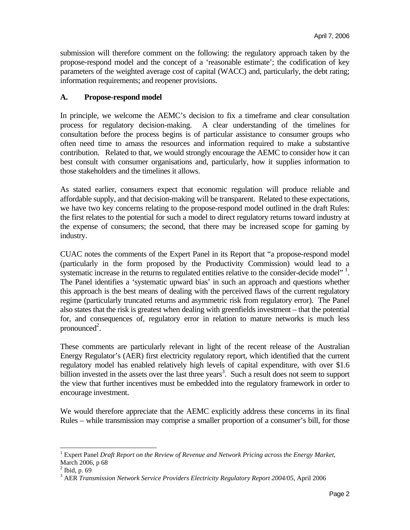submission will therefore comment on the following: the regulatory approach taken by the propose-respond model and the concept of a 'reasonable estimate'; the codification of key parameters of the weighted average cost of capital (WACC) and, particularly, the debt rating; information requirements; and reopener provisions.

### **A. Propose-respond model**

In principle, we welcome the AEMC's decision to fix a timeframe and clear consultation process for regulatory decision-making. A clear understanding of the timelines for consultation before the process begins is of particular assistance to consumer groups who often need time to amass the resources and information required to make a substantive contribution. Related to that, we would strongly encourage the AEMC to consider how it can best consult with consumer organisations and, particularly, how it supplies information to those stakeholders and the timelines it allows.

As stated earlier, consumers expect that economic regulation will produce reliable and affordable supply, and that decision-making will be transparent. Related to these expectations, we have two key concerns relating to the propose-respond model outlined in the draft Rules: the first relates to the potential for such a model to direct regulatory returns toward industry at the expense of consumers; the second, that there may be increased scope for gaming by industry.

CUAC notes the comments of the Expert Panel in its Report that "a propose-respond model (particularly in the form proposed by the Productivity Commission) would lead to a systematic increase in the returns to regulated entities relative to the consider-decide model". The Panel identifies a 'systematic upward bias' in such an approach and questions whether this approach is the best means of dealing with the perceived flaws of the current regulatory regime (particularly truncated returns and asymmetric risk from regulatory error). The Panel also states that the risk is greatest when dealing with greenfields investment – that the potential for, and consequences of, regulatory error in relation to mature networks is much less pronounced $2$ .

These comments are particularly relevant in light of the recent release of the Australian Energy Regulator's (AER) first electricity regulatory report, which identified that the current regulatory model has enabled relatively high levels of capital expenditure, with over \$1.6 billion invested in the assets over the last three years<sup>3</sup>. Such a result does not seem to support the view that further incentives must be embedded into the regulatory framework in order to encourage investment.

We would therefore appreciate that the AEMC explicitly address these concerns in its final Rules – while transmission may comprise a smaller proportion of a consumer's bill, for those

l

<sup>&</sup>lt;sup>1</sup> Expert Panel *Draft Report on the Review of Revenue and Network Pricing across the Energy Market,* March 2006, p 68

 $<sup>2</sup>$  Ibid, p. 69</sup>

<sup>3</sup> AER *Transmission Network Service Providers Electricity Regulatory Report 2004/05*, April 2006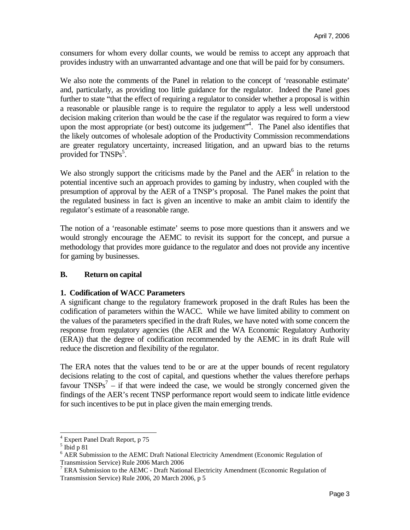consumers for whom every dollar counts, we would be remiss to accept any approach that provides industry with an unwarranted advantage and one that will be paid for by consumers.

We also note the comments of the Panel in relation to the concept of 'reasonable estimate' and, particularly, as providing too little guidance for the regulator. Indeed the Panel goes further to state "that the effect of requiring a regulator to consider whether a proposal is within a reasonable or plausible range is to require the regulator to apply a less well understood decision making criterion than would be the case if the regulator was required to form a view upon the most appropriate (or best) outcome its judgement"<sup>4</sup>. The Panel also identifies that the likely outcomes of wholesale adoption of the Productivity Commission recommendations are greater regulatory uncertainty, increased litigation, and an upward bias to the returns provided for TNSPs<sup>5</sup>.

We also strongly support the criticisms made by the Panel and the  $AER<sup>6</sup>$  in relation to the potential incentive such an approach provides to gaming by industry, when coupled with the presumption of approval by the AER of a TNSP's proposal. The Panel makes the point that the regulated business in fact is given an incentive to make an ambit claim to identify the regulator's estimate of a reasonable range.

The notion of a 'reasonable estimate' seems to pose more questions than it answers and we would strongly encourage the AEMC to revisit its support for the concept, and pursue a methodology that provides more guidance to the regulator and does not provide any incentive for gaming by businesses.

# **B. Return on capital**

#### **1. Codification of WACC Parameters**

A significant change to the regulatory framework proposed in the draft Rules has been the codification of parameters within the WACC. While we have limited ability to comment on the values of the parameters specified in the draft Rules, we have noted with some concern the response from regulatory agencies (the AER and the WA Economic Regulatory Authority (ERA)) that the degree of codification recommended by the AEMC in its draft Rule will reduce the discretion and flexibility of the regulator.

The ERA notes that the values tend to be or are at the upper bounds of recent regulatory decisions relating to the cost of capital, and questions whether the values therefore perhaps favour  $TNSPs<sup>7</sup>$  – if that were indeed the case, we would be strongly concerned given the findings of the AER's recent TNSP performance report would seem to indicate little evidence for such incentives to be put in place given the main emerging trends.

 4 Expert Panel Draft Report, p 75

 $<sup>5</sup>$  Ibid p 81</sup>

<sup>&</sup>lt;sup>6</sup> AER Submission to the AEMC Draft National Electricity Amendment (Economic Regulation of Transmission Service) Rule 2006 March 2006

<sup>&</sup>lt;sup>7</sup> ERA Submission to the AEMC - Draft National Electricity Amendment (Economic Regulation of Transmission Service) Rule 2006, 20 March 2006, p 5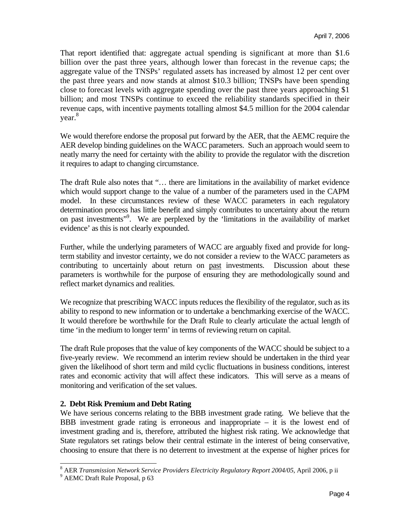That report identified that: aggregate actual spending is significant at more than \$1.6 billion over the past three years, although lower than forecast in the revenue caps; the aggregate value of the TNSPs' regulated assets has increased by almost 12 per cent over the past three years and now stands at almost \$10.3 billion; TNSPs have been spending close to forecast levels with aggregate spending over the past three years approaching \$1 billion; and most TNSPs continue to exceed the reliability standards specified in their revenue caps, with incentive payments totalling almost \$4.5 million for the 2004 calendar year.<sup>8</sup>

We would therefore endorse the proposal put forward by the AER, that the AEMC require the AER develop binding guidelines on the WACC parameters. Such an approach would seem to neatly marry the need for certainty with the ability to provide the regulator with the discretion it requires to adapt to changing circumstance.

The draft Rule also notes that "... there are limitations in the availability of market evidence which would support change to the value of a number of the parameters used in the CAPM model. In these circumstances review of these WACC parameters in each regulatory determination process has little benefit and simply contributes to uncertainty about the return on past investments"9 . We are perplexed by the 'limitations in the availability of market evidence' as this is not clearly expounded.

Further, while the underlying parameters of WACC are arguably fixed and provide for longterm stability and investor certainty, we do not consider a review to the WACC parameters as contributing to uncertainly about return on past investments. Discussion about these parameters is worthwhile for the purpose of ensuring they are methodologically sound and reflect market dynamics and realities.

We recognize that prescribing WACC inputs reduces the flexibility of the regulator, such as its ability to respond to new information or to undertake a benchmarking exercise of the WACC. It would therefore be worthwhile for the Draft Rule to clearly articulate the actual length of time 'in the medium to longer term' in terms of reviewing return on capital.

The draft Rule proposes that the value of key components of the WACC should be subject to a five-yearly review. We recommend an interim review should be undertaken in the third year given the likelihood of short term and mild cyclic fluctuations in business conditions, interest rates and economic activity that will affect these indicators. This will serve as a means of monitoring and verification of the set values.

#### **2. Debt Risk Premium and Debt Rating**

We have serious concerns relating to the BBB investment grade rating. We believe that the BBB investment grade rating is erroneous and inappropriate  $-$  it is the lowest end of investment grading and is, therefore, attributed the highest risk rating. We acknowledge that State regulators set ratings below their central estimate in the interest of being conservative, choosing to ensure that there is no deterrent to investment at the expense of higher prices for

<sup>&</sup>lt;sup>8</sup> AER *Transmission Network Service Providers Electricity Regulatory Report 2004/05*, April 2006, p ii <sup>9</sup> AEMC Dreft Puls Proposel n 63

<sup>&</sup>lt;sup>9</sup> AEMC Draft Rule Proposal, p 63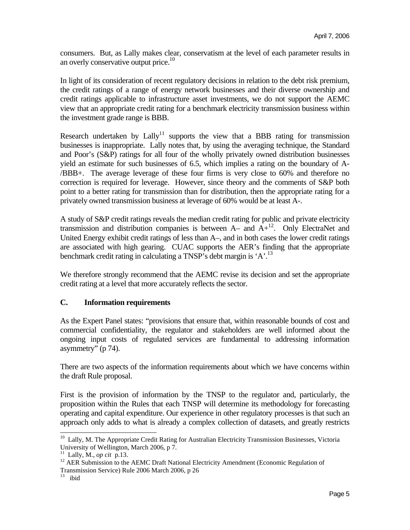consumers. But, as Lally makes clear, conservatism at the level of each parameter results in an overly conservative output price.<sup>10</sup>

In light of its consideration of recent regulatory decisions in relation to the debt risk premium, the credit ratings of a range of energy network businesses and their diverse ownership and credit ratings applicable to infrastructure asset investments, we do not support the AEMC view that an appropriate credit rating for a benchmark electricity transmission business within the investment grade range is BBB.

Research undertaken by  $Lally$ <sup>11</sup> supports the view that a BBB rating for transmission businesses is inappropriate. Lally notes that, by using the averaging technique, the Standard and Poor's (S&P) ratings for all four of the wholly privately owned distribution businesses yield an estimate for such businesses of 6.5, which implies a rating on the boundary of A- /BBB+. The average leverage of these four firms is very close to 60% and therefore no correction is required for leverage. However, since theory and the comments of S&P both point to a better rating for transmission than for distribution, then the appropriate rating for a privately owned transmission business at leverage of 60% would be at least A-.

A study of S&P credit ratings reveals the median credit rating for public and private electricity transmission and distribution companies is between  $A-$  and  $A+$ <sup>12</sup>. Only ElectraNet and United Energy exhibit credit ratings of less than A–, and in both cases the lower credit ratings are associated with high gearing. CUAC supports the AER's finding that the appropriate benchmark credit rating in calculating a TNSP's debt margin is 'A'.<sup>13</sup>

We therefore strongly recommend that the AEMC revise its decision and set the appropriate credit rating at a level that more accurately reflects the sector.

# **C. Information requirements**

As the Expert Panel states: "provisions that ensure that, within reasonable bounds of cost and commercial confidentiality, the regulator and stakeholders are well informed about the ongoing input costs of regulated services are fundamental to addressing information asymmetry" (p 74).

There are two aspects of the information requirements about which we have concerns within the draft Rule proposal.

First is the provision of information by the TNSP to the regulator and, particularly, the proposition within the Rules that each TNSP will determine its methodology for forecasting operating and capital expenditure. Our experience in other regulatory processes is that such an approach only adds to what is already a complex collection of datasets, and greatly restricts

l <sup>10</sup> Lally, M. The Appropriate Credit Rating for Australian Electricity Transmission Businesses, Victoria University of Wellington, March 2006, p 7.<br>  $\frac{11}{11}$  Lally, M., op cit p.13.

<sup>&</sup>lt;sup>12</sup> AER Submission to the AEMC Draft National Electricity Amendment (Economic Regulation of Transmission Service) Rule 2006 March 2006, p 26

 $13$  ibid